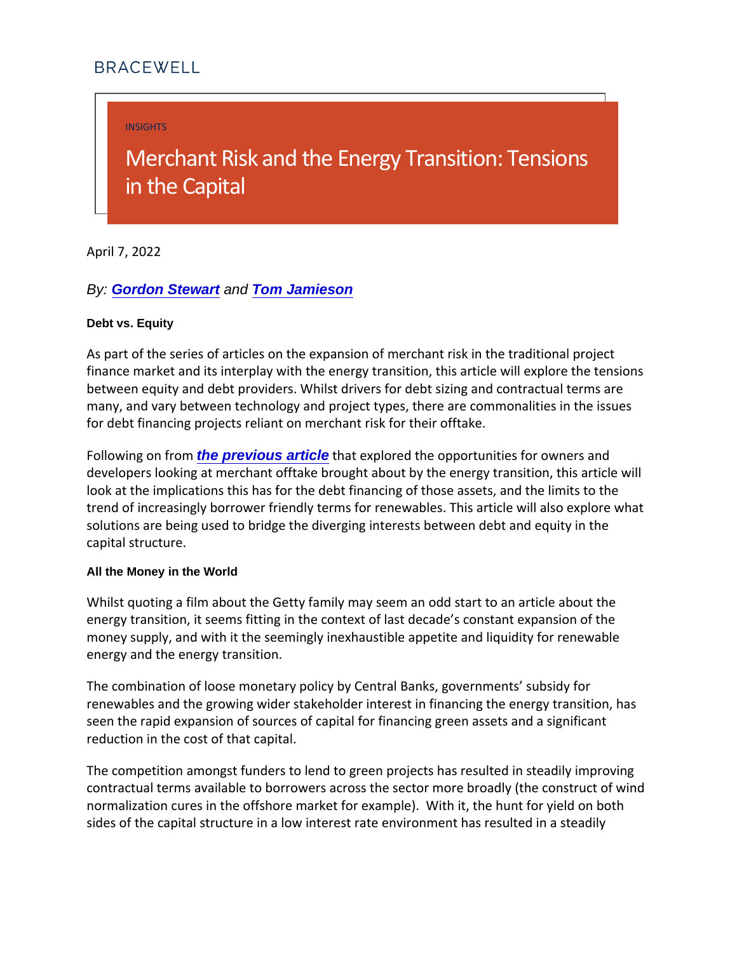INSIGHTS

# Merchant Risk and the Energy in the Capital

April 7, 2022

By: [Gordon Stewart](https://bracewell.com/people/gordon-stewart) and [Tom Jamieson](https://bracewell.com/people/tom-jamieson)

Debt vs. Equity

As part of the series of articles on the expansion of merchant finance market and its interplay with the energy transition, thi between equity and debt providers. Whilst drivers for debt sizi many, and vary between technology and project types, there are for debt financing projects reliant on merchant risk for their of

Following the previous article that explored the opportunities for own developers looking at merchant offtake brought about by the er look at the implications this has for the debt financing of those trend of increasingly borrower friendly terms for renewables. T solutions are being used to bridge the diverging interests betw capital structure.

All the Money in the World

Whilst quoting a film about the Getty family may seem an odd start to an article about the Getty family may seem an odd energy transition, it seems fitting in the context of last decade money supply, and with it the seemingly inexhaustible appetite energy and the energy transition.

The combination of loose monetary policy by Central Banks, go renewables and the growing wider stakeholder interest in finan seen the rapid expansion of sources of capital for financing gr reduction in the cost of that capital.

The competition amongst funders to lend to green projects has contractual terms available to borrowers across the sector mor normalization cures in the offshore market for example). With sides of the capital structure in a low interest rate environmen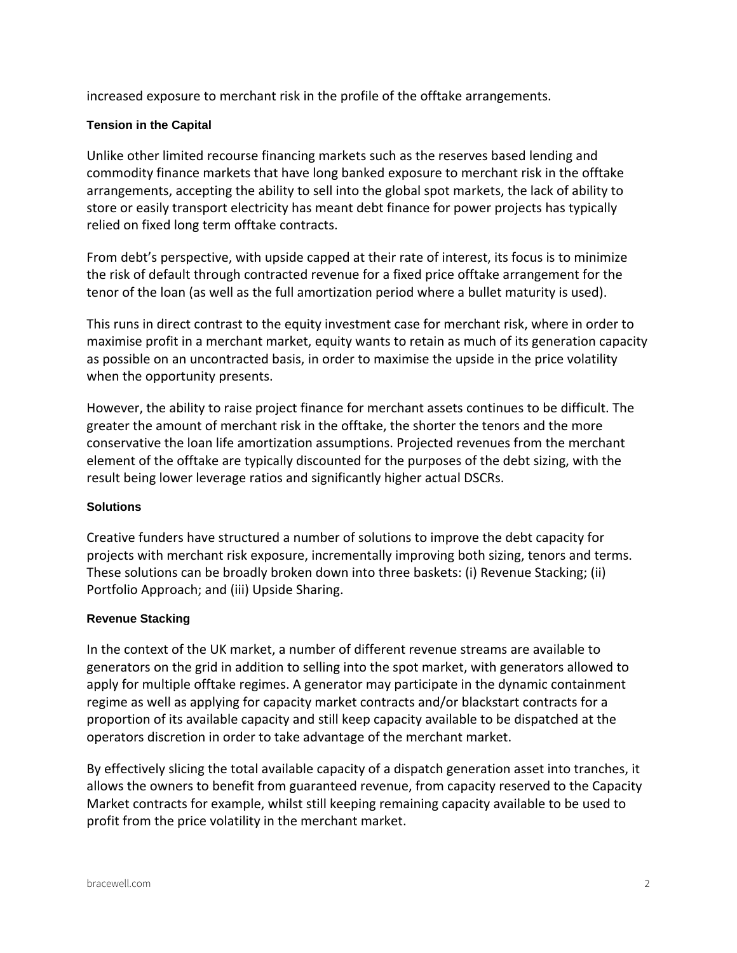increased exposure to merchant risk in the profile of the offtake arrangements.

## **Tension in the Capital**

Unlike other limited recourse financing markets such as the reserves based lending and commodity finance markets that have long banked exposure to merchant risk in the offtake arrangements, accepting the ability to sell into the global spot markets, the lack of ability to store or easily transport electricity has meant debt finance for power projects has typically relied on fixed long term offtake contracts.

From debt's perspective, with upside capped at their rate of interest, its focus is to minimize the risk of default through contracted revenue for a fixed price offtake arrangement for the tenor of the loan (as well as the full amortization period where a bullet maturity is used).

This runs in direct contrast to the equity investment case for merchant risk, where in order to maximise profit in a merchant market, equity wants to retain as much of its generation capacity as possible on an uncontracted basis, in order to maximise the upside in the price volatility when the opportunity presents.

However, the ability to raise project finance for merchant assets continues to be difficult. The greater the amount of merchant risk in the offtake, the shorter the tenors and the more conservative the loan life amortization assumptions. Projected revenues from the merchant element of the offtake are typically discounted for the purposes of the debt sizing, with the result being lower leverage ratios and significantly higher actual DSCRs.

## **Solutions**

Creative funders have structured a number of solutions to improve the debt capacity for projects with merchant risk exposure, incrementally improving both sizing, tenors and terms. These solutions can be broadly broken down into three baskets: (i) Revenue Stacking; (ii) Portfolio Approach; and (iii) Upside Sharing.

#### **Revenue Stacking**

In the context of the UK market, a number of different revenue streams are available to generators on the grid in addition to selling into the spot market, with generators allowed to apply for multiple offtake regimes. A generator may participate in the dynamic containment regime as well as applying for capacity market contracts and/or blackstart contracts for a proportion of its available capacity and still keep capacity available to be dispatched at the operators discretion in order to take advantage of the merchant market.

By effectively slicing the total available capacity of a dispatch generation asset into tranches, it allows the owners to benefit from guaranteed revenue, from capacity reserved to the Capacity Market contracts for example, whilst still keeping remaining capacity available to be used to profit from the price volatility in the merchant market.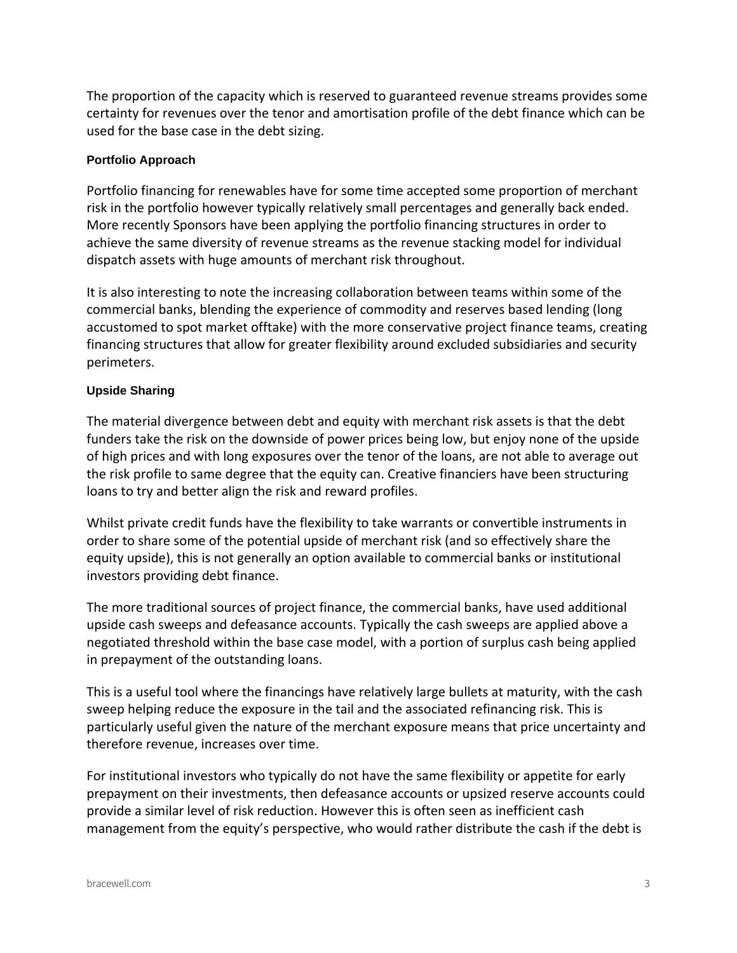The proportion of the capacity which is reserved to guaranteed revenue streams provides some certainty for revenues over the tenor and amortisation profile of the debt finance which can be used for the base case in the debt sizing.

#### **Portfolio Approach**

Portfolio financing for renewables have for some time accepted some proportion of merchant risk in the portfolio however typically relatively small percentages and generally back ended. More recently Sponsors have been applying the portfolio financing structures in order to achieve the same diversity of revenue streams as the revenue stacking model for individual dispatch assets with huge amounts of merchant risk throughout.

It is also interesting to note the increasing collaboration between teams within some of the commercial banks, blending the experience of commodity and reserves based lending (long accustomed to spot market offtake) with the more conservative project finance teams, creating financing structures that allow for greater flexibility around excluded subsidiaries and security perimeters.

## **Upside Sharing**

The material divergence between debt and equity with merchant risk assets is that the debt funders take the risk on the downside of power prices being low, but enjoy none of the upside of high prices and with long exposures over the tenor of the loans, are not able to average out the risk profile to same degree that the equity can. Creative financiers have been structuring loans to try and better align the risk and reward profiles.

Whilst private credit funds have the flexibility to take warrants or convertible instruments in order to share some of the potential upside of merchant risk (and so effectively share the equity upside), this is not generally an option available to commercial banks or institutional investors providing debt finance.

The more traditional sources of project finance, the commercial banks, have used additional upside cash sweeps and defeasance accounts. Typically the cash sweeps are applied above a negotiated threshold within the base case model, with a portion of surplus cash being applied in prepayment of the outstanding loans.

This is a useful tool where the financings have relatively large bullets at maturity, with the cash sweep helping reduce the exposure in the tail and the associated refinancing risk. This is particularly useful given the nature of the merchant exposure means that price uncertainty and therefore revenue, increases over time.

For institutional investors who typically do not have the same flexibility or appetite for early prepayment on their investments, then defeasance accounts or upsized reserve accounts could provide a similar level of risk reduction. However this is often seen as inefficient cash management from the equity's perspective, who would rather distribute the cash if the debt is